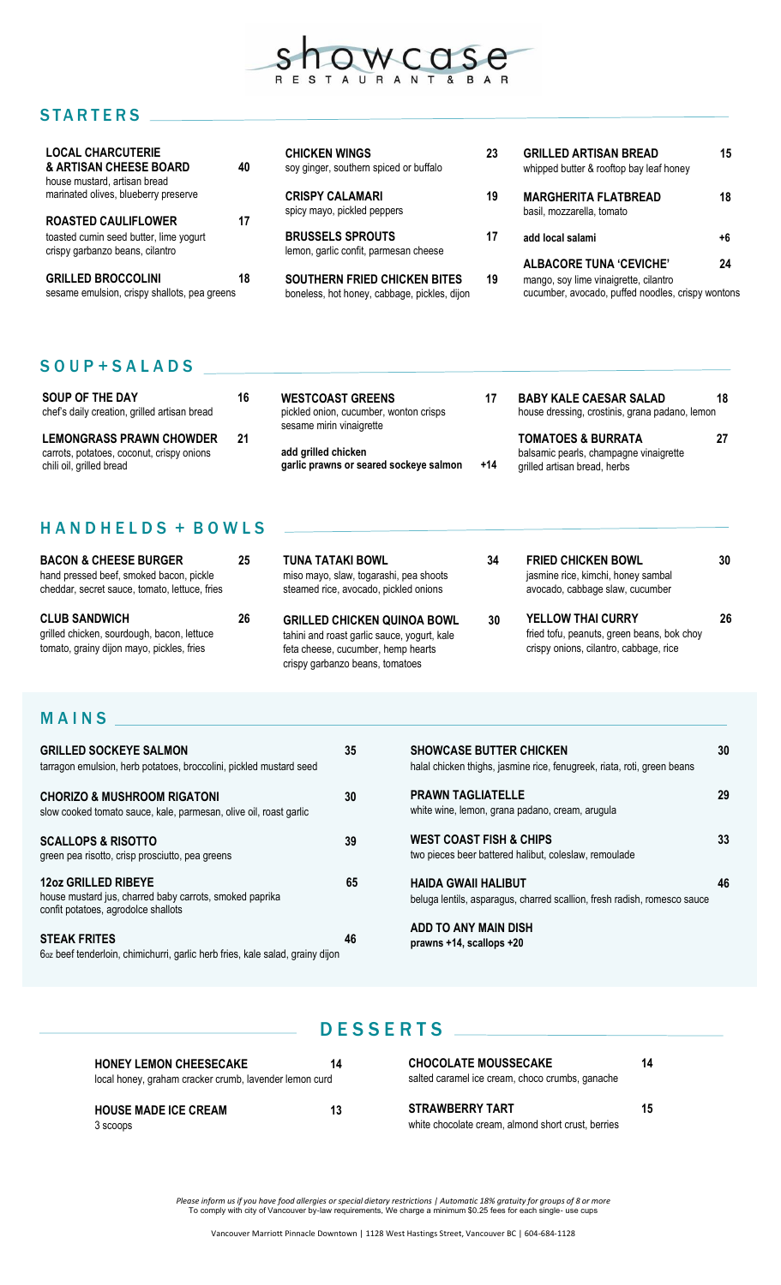

## **STARTERS**

| <b>LOCAL CHARCUTERIE</b><br>& ARTISAN CHEESE BOARD<br>house mustard, artisan bread | 40 | <b>CHICKEN WINGS</b><br>soy ginger, southern spiced or buffalo                      | 23 | <b>GRILLED ARTISAN BREAD</b><br>whipped butter & rooftop bay leaf honey                    | 15 |
|------------------------------------------------------------------------------------|----|-------------------------------------------------------------------------------------|----|--------------------------------------------------------------------------------------------|----|
| marinated olives, blueberry preserve                                               |    | <b>CRISPY CALAMARI</b><br>spicy mayo, pickled peppers                               | 19 | <b>MARGHERITA FLATBREAD</b><br>basil, mozzarella, tomato                                   | 18 |
| <b>ROASTED CAULIFLOWER</b>                                                         | 17 |                                                                                     |    |                                                                                            |    |
| toasted cumin seed butter, lime yogurt<br>crispy garbanzo beans, cilantro          |    | <b>BRUSSELS SPROUTS</b><br>lemon, garlic confit, parmesan cheese                    | 17 | add local salami                                                                           | +6 |
|                                                                                    |    |                                                                                     |    | <b>ALBACORE TUNA 'CEVICHE'</b>                                                             | 24 |
| <b>GRILLED BROCCOLINI</b><br>sesame emulsion, crispy shallots, pea greens          | 18 | <b>SOUTHERN FRIED CHICKEN BITES</b><br>boneless, hot honey, cabbage, pickles, dijon | 19 | mango, soy lime vinaigrette, cilantro<br>cucumber, avocado, puffed noodles, crispy wontons |    |

## S O U P + S A L A D S

| SOUP OF THE DAY<br>chef's daily creation, grilled artisan bread                                          | 16 | <b>WESTCOAST GREENS</b><br>pickled onion, cucumber, wonton crisps<br>sesame mirin vinaigrette | 17    | <b>BABY KALE CAESAR SALAD</b><br>house dressing, crostinis, grana padano, lemon                         | 18 |
|----------------------------------------------------------------------------------------------------------|----|-----------------------------------------------------------------------------------------------|-------|---------------------------------------------------------------------------------------------------------|----|
| <b>LEMONGRASS PRAWN CHOWDER</b><br>carrots, potatoes, coconut, crispy onions<br>chili oil, grilled bread | 21 | add grilled chicken<br>garlic prawns or seared sockeye salmon                                 | $+14$ | <b>TOMATOES &amp; BURRATA</b><br>balsamic pearls, champagne vinaigrette<br>grilled artisan bread, herbs | 27 |

## HANDHELDS + BOWLS

| <b>BACON &amp; CHEESE BURGER</b><br>hand pressed beef, smoked bacon, pickle<br>cheddar, secret sauce, tomato, lettuce, fries | 25 | TUNA TATAKI BOWL<br>miso mayo, slaw, togarashi, pea shoots<br>steamed rice, avocado, pickled onions                                                        | 34 | <b>FRIED CHICKEN BOWL</b><br>jasmine rice, kimchi, honey sambal<br>avocado, cabbage slaw, cucumber               | 30 |
|------------------------------------------------------------------------------------------------------------------------------|----|------------------------------------------------------------------------------------------------------------------------------------------------------------|----|------------------------------------------------------------------------------------------------------------------|----|
| <b>CLUB SANDWICH</b><br>grilled chicken, sourdough, bacon, lettuce<br>tomato, grainy dijon mayo, pickles, fries              | 26 | <b>GRILLED CHICKEN QUINOA BOWL</b><br>tahini and roast garlic sauce, yogurt, kale<br>feta cheese, cucumber, hemp hearts<br>crispy garbanzo beans, tomatoes | 30 | <b>YELLOW THAI CURRY</b><br>fried tofu, peanuts, green beans, bok choy<br>crispy onions, cilantro, cabbage, rice | 26 |
| MAINS                                                                                                                        |    |                                                                                                                                                            |    |                                                                                                                  |    |

#### **MAINS**

| <b>GRILLED SOCKEYE SALMON</b><br>tarragon emulsion, herb potatoes, broccolini, pickled mustard seed                          | 35 | <b>SHOWCASE BUTTER CHICKEN</b><br>halal chicken thighs, jasmine rice, fenugreek, riata, roti, green beans | 30 |
|------------------------------------------------------------------------------------------------------------------------------|----|-----------------------------------------------------------------------------------------------------------|----|
| <b>CHORIZO &amp; MUSHROOM RIGATONI</b><br>slow cooked tomato sauce, kale, parmesan, olive oil, roast garlic                  | 30 | <b>PRAWN TAGLIATELLE</b><br>white wine, lemon, grana padano, cream, arugula                               | 29 |
| <b>SCALLOPS &amp; RISOTTO</b><br>green pea risotto, crisp prosciutto, pea greens                                             | 39 | <b>WEST COAST FISH &amp; CHIPS</b><br>two pieces beer battered halibut, coleslaw, remoulade               | 33 |
| <b>12oz GRILLED RIBEYE</b><br>house mustard jus, charred baby carrots, smoked paprika<br>confit potatoes, agrodolce shallots | 65 | <b>HAIDA GWAII HALIBUT</b><br>beluga lentils, asparagus, charred scallion, fresh radish, romesco sauce    | 46 |
| <b>STEAK FRITES</b><br>6 <sub>oz</sub> beef tenderloin, chimichurri, garlic herb fries, kale salad, grainy dijon             | 46 | ADD TO ANY MAIN DISH<br>prawns +14, scallops +20                                                          |    |

### DESSERTS \_

| <b>HONEY LEMON CHEESECAKE</b>                          | 14 |  |  |
|--------------------------------------------------------|----|--|--|
| local honey, graham cracker crumb, lavender lemon curd |    |  |  |
|                                                        |    |  |  |
| <b>HOUSE MADE ICE CREAM</b>                            | 13 |  |  |
| 3 scoops                                               |    |  |  |

**CHOCOLATE MOUSSECAKE 14** salted caramel ice cream, choco crumbs, ganache

**STRAWBERRY TART 15** white chocolate cream, almond short crust, berries

Please inform us if you have food allergies or special dietary restrictions | Automatic 18% gratuity for groups of 8 or more<br>To comply with city of Vancouver by-law requirements, We charge a minimum \$0.25 fees for each sin